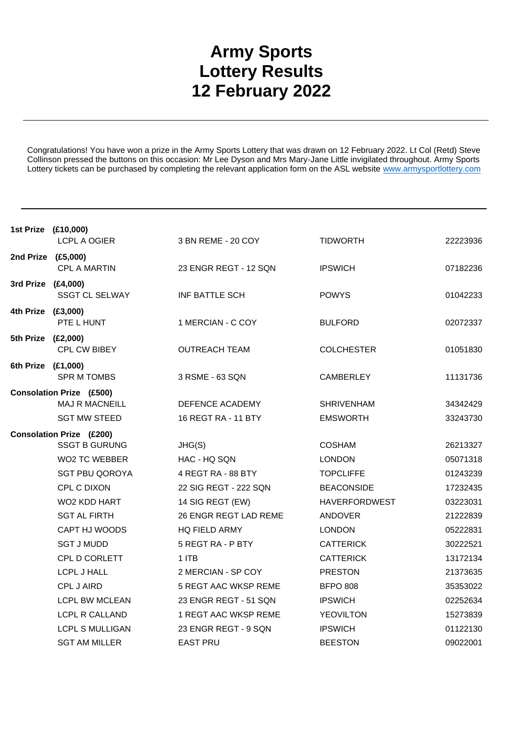## **Army Sports Lottery Results 12 February 2022**

Congratulations! You have won a prize in the Army Sports Lottery that was drawn on 12 February 2022. Lt Col (Retd) Steve Collinson pressed the buttons on this occasion: Mr Lee Dyson and Mrs Mary-Jane Little invigilated throughout. Army Sports Lottery tickets can be purchased by completing the relevant application form on the ASL website www.armysportlottery.com

| 1st Prize (£10,000)             | <b>LCPL A OGIER</b>    | 3 BN REME - 20 COY    | <b>TIDWORTH</b>      | 22223936 |  |
|---------------------------------|------------------------|-----------------------|----------------------|----------|--|
| 2nd Prize (£5,000)              | <b>CPL A MARTIN</b>    | 23 ENGR REGT - 12 SQN | <b>IPSWICH</b>       | 07182236 |  |
| 3rd Prize (£4,000)              |                        |                       |                      |          |  |
|                                 | <b>SSGT CL SELWAY</b>  | INF BATTLE SCH        | <b>POWYS</b>         | 01042233 |  |
| 4th Prize (£3,000)              |                        |                       |                      |          |  |
|                                 | PTE L HUNT             | 1 MERCIAN - C COY     | <b>BULFORD</b>       | 02072337 |  |
| 5th Prize (£2,000)              |                        |                       |                      |          |  |
|                                 | CPL CW BIBEY           | <b>OUTREACH TEAM</b>  | <b>COLCHESTER</b>    | 01051830 |  |
| 6th Prize (£1,000)              |                        |                       |                      |          |  |
|                                 | <b>SPR M TOMBS</b>     | 3 RSME - 63 SQN       | <b>CAMBERLEY</b>     | 11131736 |  |
| <b>Consolation Prize (£500)</b> |                        |                       |                      |          |  |
|                                 | <b>MAJ R MACNEILL</b>  | DEFENCE ACADEMY       | <b>SHRIVENHAM</b>    | 34342429 |  |
|                                 | <b>SGT MW STEED</b>    | 16 REGT RA - 11 BTY   | <b>EMSWORTH</b>      | 33243730 |  |
| <b>Consolation Prize (£200)</b> |                        |                       |                      |          |  |
|                                 | <b>SSGT B GURUNG</b>   | JHG(S)                | <b>COSHAM</b>        | 26213327 |  |
|                                 | WO2 TC WEBBER          | HAC - HQ SQN          | <b>LONDON</b>        | 05071318 |  |
|                                 | <b>SGT PBU QOROYA</b>  | 4 REGT RA - 88 BTY    | <b>TOPCLIFFE</b>     | 01243239 |  |
|                                 | <b>CPL C DIXON</b>     | 22 SIG REGT - 222 SQN | <b>BEACONSIDE</b>    | 17232435 |  |
|                                 | WO2 KDD HART           | 14 SIG REGT (EW)      | <b>HAVERFORDWEST</b> | 03223031 |  |
|                                 | <b>SGT AL FIRTH</b>    | 26 ENGR REGT LAD REME | <b>ANDOVER</b>       | 21222839 |  |
|                                 | CAPT HJ WOODS          | <b>HQ FIELD ARMY</b>  | <b>LONDON</b>        | 05222831 |  |
|                                 | <b>SGT J MUDD</b>      | 5 REGT RA - P BTY     | <b>CATTERICK</b>     | 30222521 |  |
|                                 | CPL D CORLETT          | 1 ITB                 | <b>CATTERICK</b>     | 13172134 |  |
|                                 | LCPL J HALL            | 2 MERCIAN - SP COY    | <b>PRESTON</b>       | 21373635 |  |
|                                 | CPL J AIRD             | 5 REGT AAC WKSP REME  | <b>BFPO 808</b>      | 35353022 |  |
|                                 | <b>LCPL BW MCLEAN</b>  | 23 ENGR REGT - 51 SQN | <b>IPSWICH</b>       | 02252634 |  |
|                                 | <b>LCPL R CALLAND</b>  | 1 REGT AAC WKSP REME  | <b>YEOVILTON</b>     | 15273839 |  |
|                                 | <b>LCPL S MULLIGAN</b> | 23 ENGR REGT - 9 SQN  | <b>IPSWICH</b>       | 01122130 |  |
|                                 | <b>SGT AM MILLER</b>   | <b>EAST PRU</b>       | <b>BEESTON</b>       | 09022001 |  |
|                                 |                        |                       |                      |          |  |